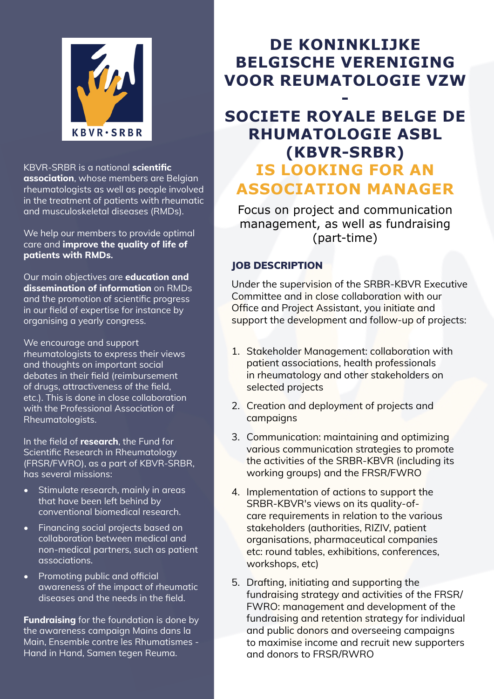

KBVR-SRBR is a national **scientific association**, whose members are Belgian rheumatologists as well as people involved in the treatment of patients with rheumatic and musculoskeletal diseases (RMDs).

We help our members to provide optimal care and **improve the quality of life of patients with RMDs.**

Our main objectives are **education and dissemination of information** on RMDs and the promotion of scientific progress in our field of expertise for instance by organising a yearly congress.

We encourage and support rheumatologists to express their views and thoughts on important social debates in their field (reimbursement of drugs, attractiveness of the field, etc.). This is done in close collaboration with the Professional Association of Rheumatologists.

In the field of **research**, the Fund for Scientific Research in Rheumatology (FRSR/FWRO), as a part of KBVR-SRBR, has several missions:

- Stimulate research, mainly in areas that have been left behind by conventional biomedical research.
- Financing social projects based on collaboration between medical and non-medical partners, such as patient associations.
- Promoting public and official awareness of the impact of rheumatic diseases and the needs in the field.

**Fundraising** for the foundation is done by the awareness campaign Mains dans la Main, Ensemble contre les Rhumatismes - Hand in Hand, Samen tegen Reuma.

# **DE KONINKLIJKE BELGISCHE VERENIGING VOOR REUMATOLOGIE VZW**

## **- SOCIETE ROYALE BELGE DE RHUMATOLOGIE ASBL (KBVR-SRBR) IS LOOKING FOR AN ASSOCIATION MANAGER**

Focus on project and communication management, as well as fundraising (part-time)

### JOB DESCRIPTION

Under the supervision of the SRBR-KBVR Executive Committee and in close collaboration with our Office and Project Assistant, you initiate and support the development and follow-up of projects:

- 1. Stakeholder Management: collaboration with patient associations, health professionals in rheumatology and other stakeholders on selected projects
- 2. Creation and deployment of projects and campaigns
- 3. Communication: maintaining and optimizing various communication strategies to promote the activities of the SRBR-KBVR (including its working groups) and the FRSR/FWRO
- 4. Implementation of actions to support the SRBR-KBVR's views on its quality-ofcare requirements in relation to the various stakeholders (authorities, RIZIV, patient organisations, pharmaceutical companies etc: round tables, exhibitions, conferences, workshops, etc)
- 5. Drafting, initiating and supporting the fundraising strategy and activities of the FRSR/ FWRO: management and development of the fundraising and retention strategy for individual and public donors and overseeing campaigns to maximise income and recruit new supporters and donors to FRSR/RWRO